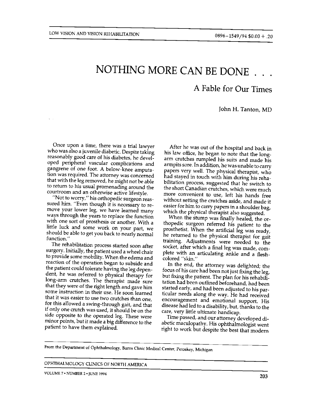## NOTHING MORE CAN BE DONE A Fable for Our Times

John H. Tanton, MD

Once upon a time, there was a trial lawyer who was also a juvenile diabetic. Despite taking reasonably good care of his diabetes, he developed peripheral vascular complications and gangrene of one foot. A below-knee amputation was required. The attorney was concerned that with the leg removed, he might not be able to return to his usual promenading around the courtroom and an otherwise active lifestyle.

"Not to worry," his orthopedic surgeon reassured him. "Even though it is necessary to remove your lower leg, we have learned many ways through the years to replace the function with one sort of prosthesis or another. With a little luck and some work on your part, we should be able to get you back to nearly normal function."

The rehabilitation process started soon after surgery. Initially, the patient used a wheel chair to provide some mobility. When the edema and reaction of the operation began to subside and the patient could tolerate having the leg dependent, he was referred to physical therapy for long-arm crutches. The therapist made sure that they were of the right length and gave him some instruction in their use. He soon learned that it was easier to use two crutches than one, for this allowed a swing-through gait, and that if only one crutch was used, it should be on the side opposite to the operated leg. These were minor points, but it made a big difference to the patient to have them explained.

After he was out of the hospital and back in his law office, he began to note that the longarm crutches rumpled his suits and made his armpits sore. In addition, he was unable to carry papers very well. The physical therapist, who had stayed in touch with him during his rehabilitation process, suggested that he switch to the short Canadian crutches, which were much more convenient to use, left his hands free without setting the crutches aside, and made it easier for him to carry papers in a shoulder bag, which the physical therapist also suggested.

When the stump was finally healed, the orthopedic surgeon referred his patient to the prosthetist. When the artificial leg was ready, he returned to the physical therapist for gait training. Adjustments were needed to the socket, after which a final leg was made, complete with an articulating ankle and a fleshcolored "skin."

In the end, the attorney was delighted; the focus of his care had been not just fixing the leg, but fixing the patient. The plan for his rehabilitation had been outlined beforehand, had been started early, and had been adjusted to his particular needs along the *way.* He had received encouragement and emotional support. His disease had led to a disability, but, thanks to the care, very little ultimate handicap.

Time passed, and our attorney developed diabetic maculopathy. His ophthalmologist went right to work but despite the best that modern

From the Department of Ophthalmology, Bums Clinic Medical Center, Petoskey, Michigan

## OPHTHALMOLOGY CLINICS OF **NORTH AMERICA** VOLUME 7 •**NUMBER 2 • JUNE 1994 203**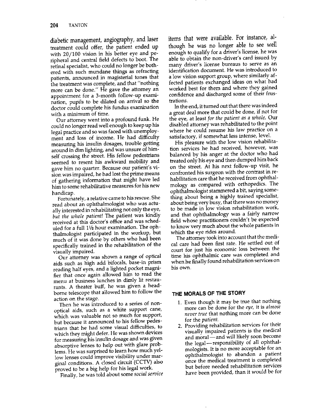diabetic management, angiography, and laser treatment could offer, the patient ended up with 20/100 vision in his better eye and peripheral and central field defects to boot. The retinal specialist, who could no longer be bothered with such mundane things as refracting patients, announced in magisterial tones that the treatment was complete, and that "nothing more can be done." He gave the attorney an appointment for a 3-month follow-up examination, pupils to be dilated on arrival so the doctor could complete his fundus examination with a minimum of time.

Our attorney went into a profound funk. He could no longer read well enough to keep up his legal practice and so was faced with unemployment and loss of income. He had difficulty measuring his insulin dosages, trouble getting around in dim lighting, and was unsure of himself crossing the street. His fellow pedestrians seemed to resent his awkward mobility and gave him no quarter. Because our patient's vision was impaired, he had lost the prime means of gathering information that might have led him to some rehabilitative measures for his new handicap.

Fortunately, a relative came to his rescue. She read about an ophthalmologist who was actually interested in rehabilitating not only the eye, but *the whole* patient! The patient was kindly received at this doctor's office and was scheduled for a full 11/2 hour examination. The ophthalmologist participated in the workup, but much of it was done by others who had been specifically trained in the rehabilitation of the visually impaired.

Our attorney was shown a range of optical aids such as high add bifocals, base-in prism reading half eyes, and a lighted pocket magnifier that once again allowed him to read the menu at business lunches in dimly lit restaurants. A theater buff, he was given a headbome telescope that allowed him to follow the action on the stage.

Then he was introduced to a series of nonoptical aids, such as a white support cane, which was valuable not so much for support, but because it announced to his fellow pedestrians that he had some visual difficulties, to which they might defer. He was shown devices for measuring his insulin dosage and was given absorptive lenses to help out with glare problems. He was surprised to learn how much yellow lenses could improve visibility under marginal conditions. A closed circuit (CCTV) also proved to be a big help for his legal work.

Finally, he was told about some social *service*

items that were available. For instance, although he was no longer able to see well enough to qualify for a driver's license, he was able to obtain the non-driver's card issued by many driver's license bureaus to serve as an identification document. He was introduced to a low vision support group, where similarly affected patients exchanged ideas on what had worked best for them and where they gained confidence and discharged some of their frustrations.

In the end, it turned out that there was indeed a great deal more that could be done, if not for the eye, at least *for the patient* as a whole. Our disabled attorney was rehabilitated to the point where he could resume his law practice on a satisfactory, if somewhat less intense, level.

His pleasure with the low vision rehabilitation services he had received, however, was balanced by his anger at the doctor who had treated only his eye and then dumped him back on the street. At his next follow-up visit, he confronted his surgeon with the contrast in rehabilitation care that he received from ophthalmology as compared with orthopedics. The ophthalmologist stammered a bit, saying something about being a highly trained specialist, about being very busy, that there was no money to be made in low vision rehabilitation work, and that ophthalmology was a fairly narrow field whose practitioners couldn't be expected to know very much about the whole patients in which the eye rides around.

The attorney took into account that the medical care had been first rate. He settled out of court for just his economic loss between the time his ophthalmic care was completed and when he finally found rehabilitation services on his own.

## **THE MORALS OF THE STORY**

- 1. Even though it may be true that nothing more can be done for the *eye,* it is almost *never true* that nothing more can be done for the patient.
- 2. Providing rehabilitation services for their visually impaired patients is the medical and moral-and will likely soon become the legal-responsibility of all ophthalmologists. It is no more acceptable for an ophthalmologist to abandon a patient once the medical treatment is completed but before needed rehabilitation services have been provided, than it would be for